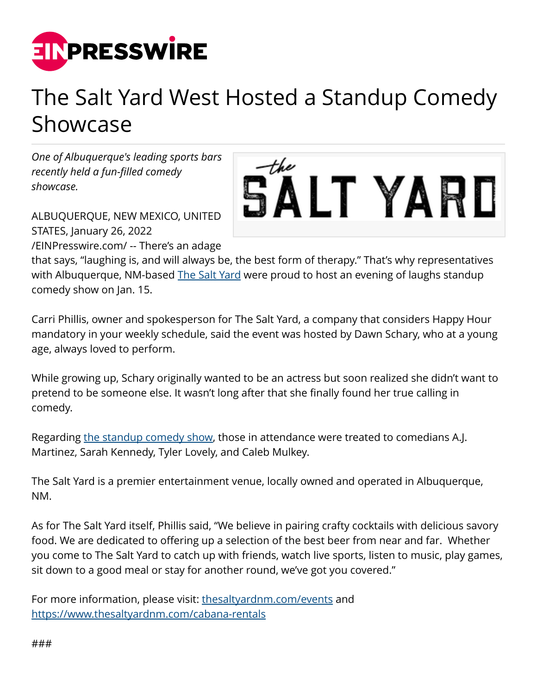

## The Salt Yard West Hosted a Standup Comedy Showcase

*One of Albuquerque's leading sports bars recently held a fun-filled comedy showcase.*



ALBUQUERQUE, NEW MEXICO, UNITED STATES, January 26, 2022

[/EINPresswire.com/](http://www.einpresswire.com) -- There's an adage

that says, "laughing is, and will always be, the best form of therapy." That's why representatives with Albuquerque, NM-based [The Salt Yard](https://www.thesaltyardnm.com/) were proud to host an evening of laughs standup comedy show on Jan. 15.

Carri Phillis, owner and spokesperson for The Salt Yard, a company that considers Happy Hour mandatory in your weekly schedule, said the event was hosted by Dawn Schary, who at a young age, always loved to perform.

While growing up, Schary originally wanted to be an actress but soon realized she didn't want to pretend to be someone else. It wasn't long after that she finally found her true calling in comedy.

Regarding [the standup comedy show,](https://www.facebook.com/thesaltyardwest/) those in attendance were treated to comedians A.J. Martinez, Sarah Kennedy, Tyler Lovely, and Caleb Mulkey.

The Salt Yard is a premier entertainment venue, locally owned and operated in Albuquerque, NM.

As for The Salt Yard itself, Phillis said, "We believe in pairing crafty cocktails with delicious savory food. We are dedicated to offering up a selection of the best beer from near and far. Whether you come to The Salt Yard to catch up with friends, watch live sports, listen to music, play games, sit down to a good meal or stay for another round, we've got you covered."

For more information, please visit: [thesaltyardnm.com/events](https://www.thesaltyardnm.com/events) and <https://www.thesaltyardnm.com/cabana-rentals>